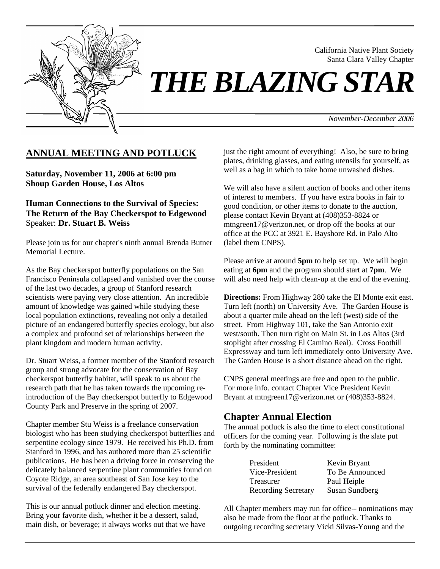

Santa Clara Valley Chapter *THE BLAZING STAR* 

*November-December 2006*

California Native Plant Society

### **ANNUAL MEETING AND POTLUCK**

**Saturday, November 11, 2006 at 6:00 pm Shoup Garden House, Los Altos** 

**Human Connections to the Survival of Species: The Return of the Bay Checkerspot to Edgewood**  Speaker: **Dr. Stuart B. Weiss** 

Please join us for our chapter's ninth annual Brenda Butner Memorial Lecture.

As the Bay checkerspot butterfly populations on the San Francisco Peninsula collapsed and vanished over the course of the last two decades, a group of Stanford research scientists were paying very close attention. An incredible amount of knowledge was gained while studying these local population extinctions, revealing not only a detailed picture of an endangered butterfly species ecology, but also a complex and profound set of relationships between the plant kingdom and modern human activity.

Dr. Stuart Weiss, a former member of the Stanford research group and strong advocate for the conservation of Bay checkerspot butterfly habitat, will speak to us about the research path that he has taken towards the upcoming reintroduction of the Bay checkerspot butterfly to Edgewood County Park and Preserve in the spring of 2007.

Chapter member Stu Weiss is a freelance conservation biologist who has been studying checkerspot butterflies and serpentine ecology since 1979. He received his Ph.D. from Stanford in 1996, and has authored more than 25 scientific publications. He has been a driving force in conserving the delicately balanced serpentine plant communities found on Coyote Ridge, an area southeast of San Jose key to the survival of the federally endangered Bay checkerspot.

This is our annual potluck dinner and election meeting. Bring your favorite dish, whether it be a dessert, salad, main dish, or beverage; it always works out that we have just the right amount of everything! Also, be sure to bring plates, drinking glasses, and eating utensils for yourself, as well as a bag in which to take home unwashed dishes.

We will also have a silent auction of books and other items of interest to members. If you have extra books in fair to good condition, or other items to donate to the auction, please contact Kevin Bryant at (408)353-8824 or mtngreen17@verizon.net, or drop off the books at our office at the PCC at 3921 E. Bayshore Rd. in Palo Alto (label them CNPS).

Please arrive at around **5pm** to help set up. We will begin eating at **6pm** and the program should start at **7pm**. We will also need help with clean-up at the end of the evening.

**Directions:** From Highway 280 take the El Monte exit east. Turn left (north) on University Ave. The Garden House is about a quarter mile ahead on the left (west) side of the street. From Highway 101, take the San Antonio exit west/south. Then turn right on Main St. in Los Altos (3rd stoplight after crossing El Camino Real). Cross Foothill Expressway and turn left immediately onto University Ave. The Garden House is a short distance ahead on the right.

CNPS general meetings are free and open to the public. For more info. contact Chapter Vice President Kevin Bryant at mtngreen17@verizon.net or (408)353-8824.

#### **Chapter Annual Election**

The annual potluck is also the time to elect constitutional officers for the coming year. Following is the slate put forth by the nominating committee:

| President                  | Kevin Bryant    |
|----------------------------|-----------------|
| Vice-President             | To Be Announced |
| Treasurer                  | Paul Heiple     |
| <b>Recording Secretary</b> | Susan Sundberg  |

All Chapter members may run for office-- nominations may also be made from the floor at the potluck. Thanks to outgoing recording secretary Vicki Silvas-Young and the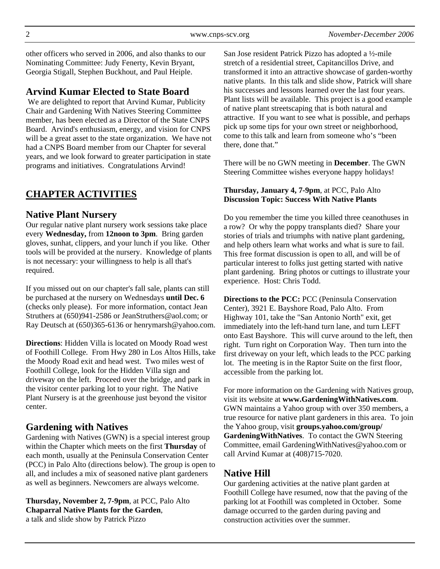other officers who served in 2006, and also thanks to our Nominating Committee: Judy Fenerty, Kevin Bryant, Georgia Stigall, Stephen Buckhout, and Paul Heiple.

## **Arvind Kumar Elected to State Board**

 We are delighted to report that Arvind Kumar, Publicity Chair and Gardening With Natives Steering Committee member, has been elected as a Director of the State CNPS Board. Arvind's enthusiasm, energy, and vision for CNPS will be a great asset to the state organization. We have not had a CNPS Board member from our Chapter for several years, and we look forward to greater participation in state programs and initiatives. Congratulations Arvind!

# **CHAPTER ACTIVITIES**

### **Native Plant Nursery**

Our regular native plant nursery work sessions take place every **Wednesday,** from **12noon to 3pm**. Bring garden gloves, sunhat, clippers, and your lunch if you like. Other tools will be provided at the nursery. Knowledge of plants is not necessary: your willingness to help is all that's required.

If you missed out on our chapter's fall sale, plants can still be purchased at the nursery on Wednesdays **until Dec. 6** (checks only please). For more information, contact Jean Struthers at (650)941-2586 or JeanStruthers@aol.com; or Ray Deutsch at (650)365-6136 or henrymarsh@yahoo.com.

**Directions**: Hidden Villa is located on Moody Road west of Foothill College. From Hwy 280 in Los Altos Hills, take the Moody Road exit and head west. Two miles west of Foothill College, look for the Hidden Villa sign and driveway on the left. Proceed over the bridge, and park in the visitor center parking lot to your right. The Native Plant Nursery is at the greenhouse just beyond the visitor center.

## **Gardening with Natives**

Gardening with Natives (GWN) is a special interest group within the Chapter which meets on the first **Thursday** of each month, usually at the Peninsula Conservation Center (PCC) in Palo Alto (directions below). The group is open to all, and includes a mix of seasoned native plant gardeners as well as beginners. Newcomers are always welcome.

**Thursday, November 2, 7-9pm**, at PCC, Palo Alto **Chaparral Native Plants for the Garden**, a talk and slide show by Patrick Pizzo

San Jose resident Patrick Pizzo has adopted a ½-mile stretch of a residential street, Capitancillos Drive, and transformed it into an attractive showcase of garden-worthy native plants. In this talk and slide show, Patrick will share his successes and lessons learned over the last four years. Plant lists will be available. This project is a good example of native plant streetscaping that is both natural and attractive. If you want to see what is possible, and perhaps pick up some tips for your own street or neighborhood, come to this talk and learn from someone who's "been there, done that."

There will be no GWN meeting in **December**. The GWN Steering Committee wishes everyone happy holidays!

#### **Thursday, January 4, 7-9pm**, at PCC, Palo Alto **Discussion Topic: Success With Native Plants**

Do you remember the time you killed three ceanothuses in a row? Or why the poppy transplants died? Share your stories of trials and triumphs with native plant gardening, and help others learn what works and what is sure to fail. This free format discussion is open to all, and will be of particular interest to folks just getting started with native plant gardening. Bring photos or cuttings to illustrate your experience. Host: Chris Todd.

**Directions to the PCC:** PCC (Peninsula Conservation Center), 3921 E. Bayshore Road, Palo Alto. From Highway 101, take the "San Antonio North" exit, get immediately into the left-hand turn lane, and turn LEFT onto East Bayshore. This will curve around to the left, then right. Turn right on Corporation Way. Then turn into the first driveway on your left, which leads to the PCC parking lot. The meeting is in the Raptor Suite on the first floor, accessible from the parking lot.

For more information on the Gardening with Natives group, visit its website at **www.GardeningWithNatives.com**. GWN maintains a Yahoo group with over 350 members, a true resource for native plant gardeners in this area. To join the Yahoo group, visit **groups.yahoo.com/group/ GardeningWithNatives**. To contact the GWN Steering Committee, email GardeningWithNatives@yahoo.com or call Arvind Kumar at (408)715-7020.

## **Native Hill**

Our gardening activities at the native plant garden at Foothill College have resumed, now that the paving of the parking lot at Foothill was completed in October. Some damage occurred to the garden during paving and construction activities over the summer.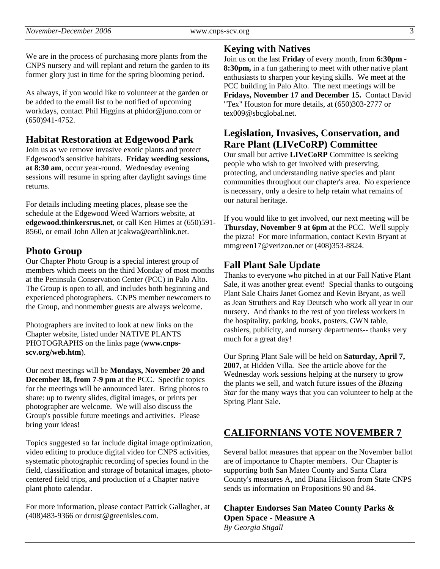We are in the process of purchasing more plants from the CNPS nursery and will replant and return the garden to its former glory just in time for the spring blooming period.

As always, if you would like to volunteer at the garden or be added to the email list to be notified of upcoming workdays, contact Phil Higgins at phidor@juno.com or (650)941-4752.

## **Habitat Restoration at Edgewood Park**

Join us as we remove invasive exotic plants and protect Edgewood's sensitive habitats. **Friday weeding sessions, at 8:30 am**, occur year-round. Wednesday evening sessions will resume in spring after daylight savings time returns.

For details including meeting places, please see the schedule at the Edgewood Weed Warriors website, at **edgewood.thinkersrus.net**, or call Ken Himes at (650)591- 8560, or email John Allen at jcakwa@earthlink.net.

## **Photo Group**

Our Chapter Photo Group is a special interest group of members which meets on the third Monday of most months at the Peninsula Conservation Center (PCC) in Palo Alto. The Group is open to all, and includes both beginning and experienced photographers. CNPS member newcomers to the Group, and nonmember guests are always welcome.

Photographers are invited to look at new links on the Chapter website, listed under NATIVE PLANTS PHOTOGRAPHS on the links page (**www.cnpsscv.org/web.htm**).

Our next meetings will be **Mondays, November 20 and December 18, from 7-9 pm** at the PCC. Specific topics for the meetings will be announced later. Bring photos to share: up to twenty slides, digital images, or prints per photographer are welcome. We will also discuss the Group's possible future meetings and activities. Please bring your ideas!

Topics suggested so far include digital image optimization, video editing to produce digital video for CNPS activities, systematic photographic recording of species found in the field, classification and storage of botanical images, photocentered field trips, and production of a Chapter native plant photo calendar.

For more information, please contact Patrick Gallagher, at (408)483-9366 or drrust@greenisles.com.

## **Keying with Natives**

Join us on the last **Friday** of every month, from **6:30pm - 8:30pm,** in a fun gathering to meet with other native plant enthusiasts to sharpen your keying skills. We meet at the PCC building in Palo Alto. The next meetings will be **Fridays, November 17 and December 15.** Contact David "Tex" Houston for more details, at (650)303-2777 or tex009@sbcglobal.net.

# **Legislation, Invasives, Conservation, and Rare Plant (LIVeCoRP) Committee**

Our small but active **LIVeCoRP** Committee is seeking people who wish to get involved with preserving, protecting, and understanding native species and plant communities throughout our chapter's area. No experience is necessary, only a desire to help retain what remains of our natural heritage.

If you would like to get involved, our next meeting will be **Thursday, November 9 at 6pm** at the PCC. We'll supply the pizza! For more information, contact Kevin Bryant at mtngreen17@verizon.net or (408)353-8824.

## **Fall Plant Sale Update**

Thanks to everyone who pitched in at our Fall Native Plant Sale, it was another great event! Special thanks to outgoing Plant Sale Chairs Janet Gomez and Kevin Bryant, as well as Jean Struthers and Ray Deutsch who work all year in our nursery. And thanks to the rest of you tireless workers in the hospitality, parking, books, posters, GWN table, cashiers, publicity, and nursery departments-- thanks very much for a great day!

Our Spring Plant Sale will be held on **Saturday, April 7, 2007**, at Hidden Villa. See the article above for the Wednesday work sessions helping at the nursery to grow the plants we sell, and watch future issues of the *Blazing Star* for the many ways that you can volunteer to help at the Spring Plant Sale.

# **CALIFORNIANS VOTE NOVEMBER 7**

Several ballot measures that appear on the November ballot are of importance to Chapter members. Our Chapter is supporting both San Mateo County and Santa Clara County's measures A, and Diana Hickson from State CNPS sends us information on Propositions 90 and 84.

**Chapter Endorses San Mateo County Parks & Open Space - Measure A**  *By Georgia Stigall*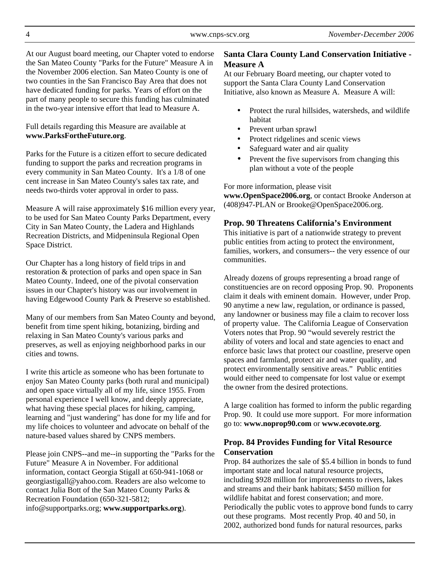At our August board meeting, our Chapter voted to endorse the San Mateo County "Parks for the Future" Measure A in the November 2006 election. San Mateo County is one of two counties in the San Francisco Bay Area that does not have dedicated funding for parks. Years of effort on the part of many people to secure this funding has culminated in the two-year intensive effort that lead to Measure A.

#### Full details regarding this Measure are available at **www.ParksFortheFuture.org**.

Parks for the Future is a citizen effort to secure dedicated funding to support the parks and recreation programs in every community in San Mateo County. It's a 1/8 of one cent increase in San Mateo County's sales tax rate, and needs two-thirds voter approval in order to pass.

Measure A will raise approximately \$16 million every year, to be used for San Mateo County Parks Department, every City in San Mateo County, the Ladera and Highlands Recreation Districts, and Midpeninsula Regional Open Space District.

Our Chapter has a long history of field trips in and restoration & protection of parks and open space in San Mateo County. Indeed, one of the pivotal conservation issues in our Chapter's history was our involvement in having Edgewood County Park & Preserve so established.

Many of our members from San Mateo County and beyond, benefit from time spent hiking, botanizing, birding and relaxing in San Mateo County's various parks and preserves, as well as enjoying neighborhood parks in our cities and towns.

I write this article as someone who has been fortunate to enjoy San Mateo County parks (both rural and municipal) and open space virtually all of my life, since 1955. From personal experience I well know, and deeply appreciate, what having these special places for hiking, camping, learning and "just wandering" has done for my life and for my life choices to volunteer and advocate on behalf of the nature-based values shared by CNPS members.

Please join CNPS--and me--in supporting the "Parks for the Future" Measure A in November. For additional information, contact Georgia Stigall at 650-941-1068 or georgiastigall@yahoo.com. Readers are also welcome to contact Julia Bott of the San Mateo County Parks & Recreation Foundation (650-321-5812; info@supportparks.org; **www.supportparks.org**).

#### **Santa Clara County Land Conservation Initiative - Measure A**

At our February Board meeting, our chapter voted to support the Santa Clara County Land Conservation Initiative, also known as Measure A. Measure A will:

- Protect the rural hillsides, watersheds, and wildlife habitat
- Prevent urban sprawl
- Protect ridgelines and scenic views
- Safeguard water and air quality
- Prevent the five supervisors from changing this plan without a vote of the people

For more information, please visit

**www.OpenSpace2006.org**, or contact Brooke Anderson at (408)947-PLAN or Brooke@OpenSpace2006.org.

#### **Prop. 90 Threatens California's Environment**

This initiative is part of a nationwide strategy to prevent public entities from acting to protect the environment, families, workers, and consumers-- the very essence of our communities.

Already dozens of groups representing a broad range of constituencies are on record opposing Prop. 90. Proponents claim it deals with eminent domain. However, under Prop. 90 anytime a new law, regulation, or ordinance is passed, any landowner or business may file a claim to recover loss of property value. The California League of Conservation Voters notes that Prop. 90 "would severely restrict the ability of voters and local and state agencies to enact and enforce basic laws that protect our coastline, preserve open spaces and farmland, protect air and water quality, and protect environmentally sensitive areas." Public entities would either need to compensate for lost value or exempt the owner from the desired protections.

A large coalition has formed to inform the public regarding Prop. 90. It could use more support. For more information go to: **www.noprop90.com** or **www.ecovote.org**.

#### **Prop. 84 Provides Funding for Vital Resource Conservation**

Prop. 84 authorizes the sale of \$5.4 billion in bonds to fund important state and local natural resource projects, including \$928 million for improvements to rivers, lakes and streams and their bank habitats; \$450 million for wildlife habitat and forest conservation; and more. Periodically the public votes to approve bond funds to carry out these programs. Most recently Prop. 40 and 50, in 2002, authorized bond funds for natural resources, parks